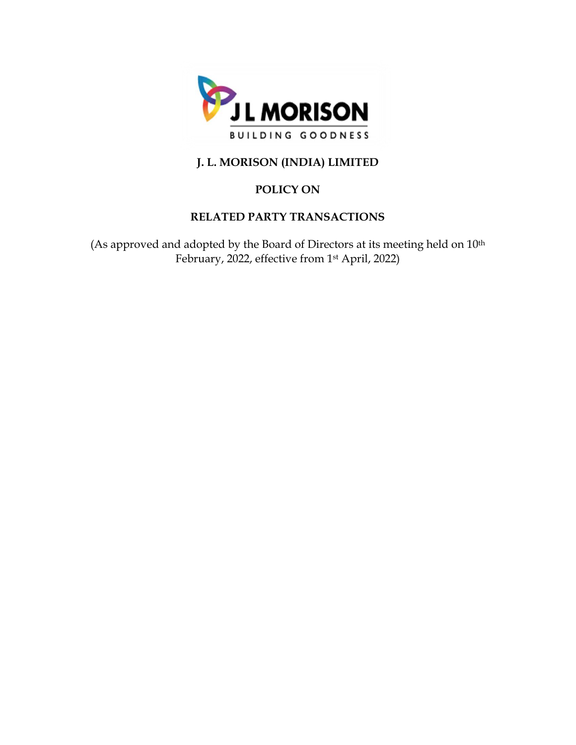

# **J. L. MORISON (INDIA) LIMITED**

# **POLICY ON**

## **RELATED PARTY TRANSACTIONS**

(As approved and adopted by the Board of Directors at its meeting held on 10<sup>th</sup> February, 2022, effective from 1st April, 2022)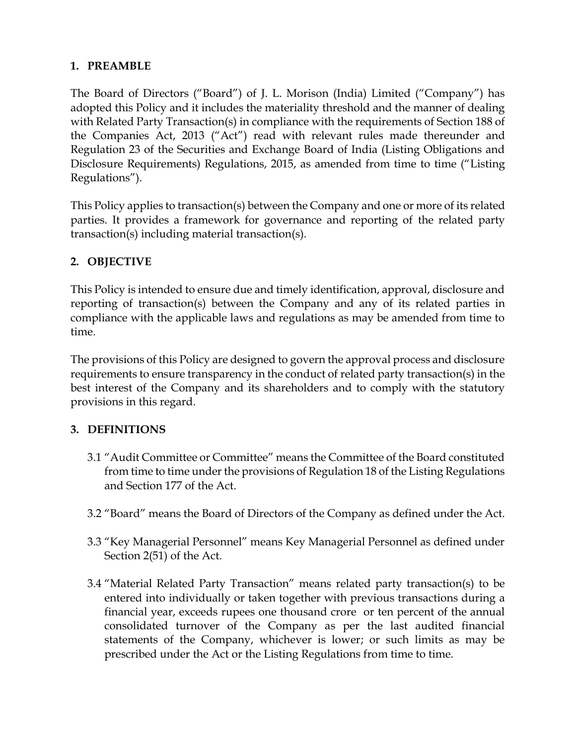### **1. PREAMBLE**

The Board of Directors ("Board") of J. L. Morison (India) Limited ("Company") has adopted this Policy and it includes the materiality threshold and the manner of dealing with Related Party Transaction(s) in compliance with the requirements of Section 188 of the Companies Act, 2013 ("Act") read with relevant rules made thereunder and Regulation 23 of the Securities and Exchange Board of India (Listing Obligations and Disclosure Requirements) Regulations, 2015, as amended from time to time ("Listing Regulations").

This Policy applies to transaction(s) between the Company and one or more of its related parties. It provides a framework for governance and reporting of the related party transaction(s) including material transaction(s).

## **2. OBJECTIVE**

This Policy is intended to ensure due and timely identification, approval, disclosure and reporting of transaction(s) between the Company and any of its related parties in compliance with the applicable laws and regulations as may be amended from time to time.

The provisions of this Policy are designed to govern the approval process and disclosure requirements to ensure transparency in the conduct of related party transaction(s) in the best interest of the Company and its shareholders and to comply with the statutory provisions in this regard.

## **3. DEFINITIONS**

- 3.1 "Audit Committee or Committee" means the Committee of the Board constituted from time to time under the provisions of Regulation 18 of the Listing Regulations and Section 177 of the Act.
- 3.2 "Board" means the Board of Directors of the Company as defined under the Act.
- 3.3 "Key Managerial Personnel" means Key Managerial Personnel as defined under Section 2(51) of the Act.
- 3.4 "Material Related Party Transaction" means related party transaction(s) to be entered into individually or taken together with previous transactions during a financial year, exceeds rupees one thousand crore or ten percent of the annual consolidated turnover of the Company as per the last audited financial statements of the Company, whichever is lower; or such limits as may be prescribed under the Act or the Listing Regulations from time to time.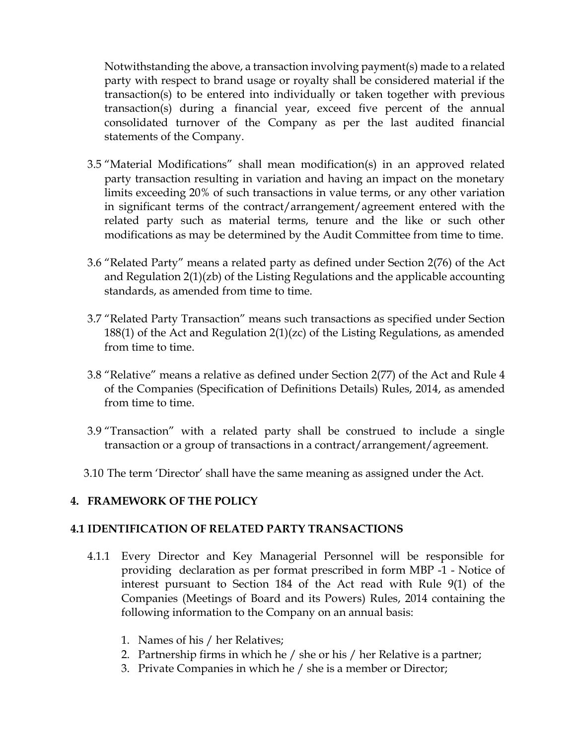Notwithstanding the above, a transaction involving payment(s) made to a related party with respect to brand usage or royalty shall be considered material if the transaction(s) to be entered into individually or taken together with previous transaction(s) during a financial year, exceed five percent of the annual consolidated turnover of the Company as per the last audited financial statements of the Company.

- 3.5 "Material Modifications" shall mean modification(s) in an approved related party transaction resulting in variation and having an impact on the monetary limits exceeding 20% of such transactions in value terms, or any other variation in significant terms of the contract/arrangement/agreement entered with the related party such as material terms, tenure and the like or such other modifications as may be determined by the Audit Committee from time to time.
- 3.6 "Related Party" means a related party as defined under Section 2(76) of the Act and Regulation 2(1)(zb) of the Listing Regulations and the applicable accounting standards, as amended from time to time.
- 3.7 "Related Party Transaction" means such transactions as specified under Section 188(1) of the Act and Regulation 2(1)(zc) of the Listing Regulations, as amended from time to time.
- 3.8 "Relative" means a relative as defined under Section 2(77) of the Act and Rule 4 of the Companies (Specification of Definitions Details) Rules, 2014, as amended from time to time.
- 3.9 "Transaction" with a related party shall be construed to include a single transaction or a group of transactions in a contract/arrangement/agreement.
- 3.10 The term 'Director' shall have the same meaning as assigned under the Act.

#### **4. FRAMEWORK OF THE POLICY**

#### **4.1 IDENTIFICATION OF RELATED PARTY TRANSACTIONS**

- 4.1.1 Every Director and Key Managerial Personnel will be responsible for providing declaration as per format prescribed in form MBP -1 - Notice of interest pursuant to Section 184 of the Act read with Rule 9(1) of the Companies (Meetings of Board and its Powers) Rules, 2014 containing the following information to the Company on an annual basis:
	- 1. Names of his / her Relatives;
	- 2. Partnership firms in which he / she or his / her Relative is a partner;
	- 3. Private Companies in which he / she is a member or Director;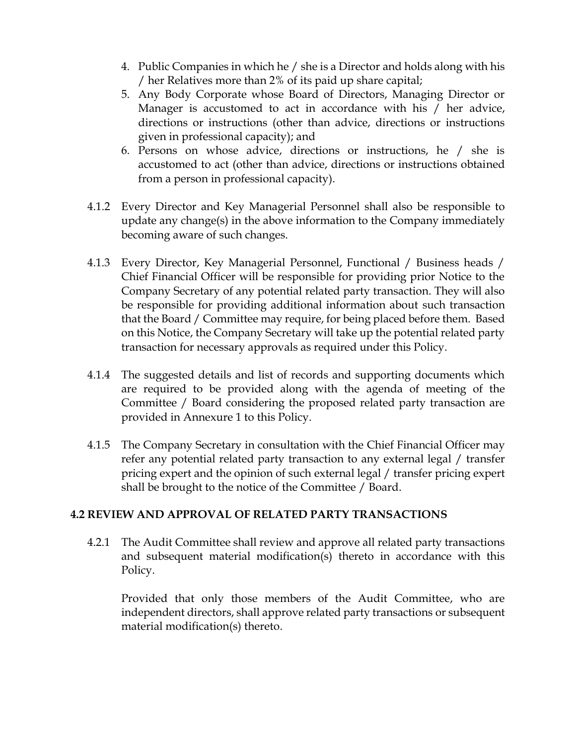- 4. Public Companies in which he / she is a Director and holds along with his / her Relatives more than 2% of its paid up share capital;
- 5. Any Body Corporate whose Board of Directors, Managing Director or Manager is accustomed to act in accordance with his / her advice, directions or instructions (other than advice, directions or instructions given in professional capacity); and
- 6. Persons on whose advice, directions or instructions, he / she is accustomed to act (other than advice, directions or instructions obtained from a person in professional capacity).
- 4.1.2 Every Director and Key Managerial Personnel shall also be responsible to update any change(s) in the above information to the Company immediately becoming aware of such changes.
- 4.1.3 Every Director, Key Managerial Personnel, Functional / Business heads / Chief Financial Officer will be responsible for providing prior Notice to the Company Secretary of any potential related party transaction. They will also be responsible for providing additional information about such transaction that the Board / Committee may require, for being placed before them. Based on this Notice, the Company Secretary will take up the potential related party transaction for necessary approvals as required under this Policy.
- 4.1.4 The suggested details and list of records and supporting documents which are required to be provided along with the agenda of meeting of the Committee / Board considering the proposed related party transaction are provided in Annexure 1 to this Policy.
- 4.1.5 The Company Secretary in consultation with the Chief Financial Officer may refer any potential related party transaction to any external legal / transfer pricing expert and the opinion of such external legal / transfer pricing expert shall be brought to the notice of the Committee / Board.

### **4.2 REVIEW AND APPROVAL OF RELATED PARTY TRANSACTIONS**

4.2.1 The Audit Committee shall review and approve all related party transactions and subsequent material modification(s) thereto in accordance with this Policy.

Provided that only those members of the Audit Committee, who are independent directors, shall approve related party transactions or subsequent material modification(s) thereto.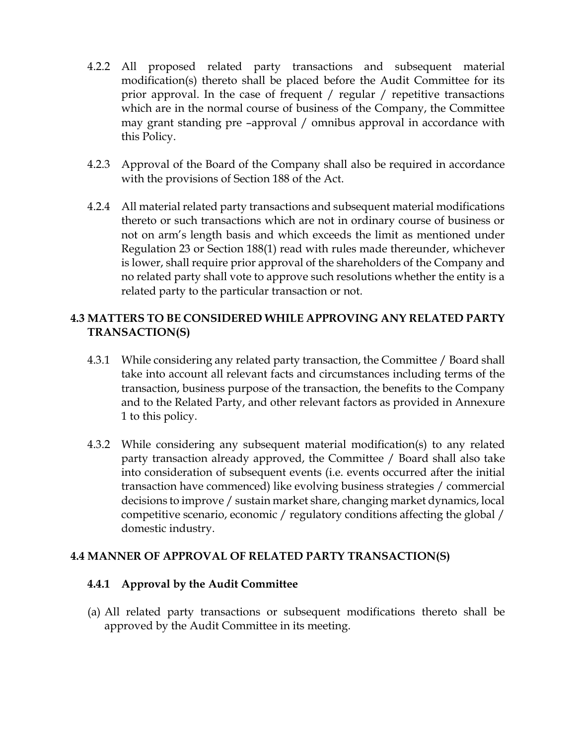- 4.2.2 All proposed related party transactions and subsequent material modification(s) thereto shall be placed before the Audit Committee for its prior approval. In the case of frequent / regular / repetitive transactions which are in the normal course of business of the Company, the Committee may grant standing pre –approval / omnibus approval in accordance with this Policy.
- 4.2.3 Approval of the Board of the Company shall also be required in accordance with the provisions of Section 188 of the Act.
- 4.2.4 All material related party transactions and subsequent material modifications thereto or such transactions which are not in ordinary course of business or not on arm's length basis and which exceeds the limit as mentioned under Regulation 23 or Section 188(1) read with rules made thereunder, whichever is lower, shall require prior approval of the shareholders of the Company and no related party shall vote to approve such resolutions whether the entity is a related party to the particular transaction or not.

### **4.3 MATTERS TO BE CONSIDERED WHILE APPROVING ANY RELATED PARTY TRANSACTION(S)**

- 4.3.1 While considering any related party transaction, the Committee / Board shall take into account all relevant facts and circumstances including terms of the transaction, business purpose of the transaction, the benefits to the Company and to the Related Party, and other relevant factors as provided in Annexure 1 to this policy.
- 4.3.2 While considering any subsequent material modification(s) to any related party transaction already approved, the Committee / Board shall also take into consideration of subsequent events (i.e. events occurred after the initial transaction have commenced) like evolving business strategies / commercial decisions to improve / sustain market share, changing market dynamics, local competitive scenario, economic / regulatory conditions affecting the global / domestic industry.

#### **4.4 MANNER OF APPROVAL OF RELATED PARTY TRANSACTION(S)**

#### **4.4.1 Approval by the Audit Committee**

(a) All related party transactions or subsequent modifications thereto shall be approved by the Audit Committee in its meeting.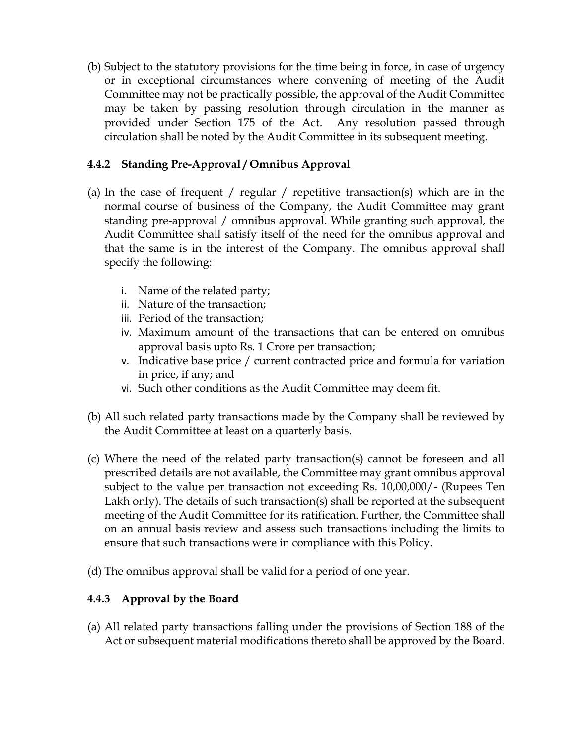(b) Subject to the statutory provisions for the time being in force, in case of urgency or in exceptional circumstances where convening of meeting of the Audit Committee may not be practically possible, the approval of the Audit Committee may be taken by passing resolution through circulation in the manner as provided under Section 175 of the Act. Any resolution passed through circulation shall be noted by the Audit Committee in its subsequent meeting.

### **4.4.2 Standing Pre-Approval / Omnibus Approval**

- (a) In the case of frequent / regular / repetitive transaction(s) which are in the normal course of business of the Company, the Audit Committee may grant standing pre-approval / omnibus approval. While granting such approval, the Audit Committee shall satisfy itself of the need for the omnibus approval and that the same is in the interest of the Company. The omnibus approval shall specify the following:
	- i. Name of the related party;
	- ii. Nature of the transaction;
	- iii. Period of the transaction;
	- iv. Maximum amount of the transactions that can be entered on omnibus approval basis upto Rs. 1 Crore per transaction;
	- v. Indicative base price / current contracted price and formula for variation in price, if any; and
	- vi. Such other conditions as the Audit Committee may deem fit.
- (b) All such related party transactions made by the Company shall be reviewed by the Audit Committee at least on a quarterly basis.
- (c) Where the need of the related party transaction(s) cannot be foreseen and all prescribed details are not available, the Committee may grant omnibus approval subject to the value per transaction not exceeding Rs. 10,00,000/- (Rupees Ten Lakh only). The details of such transaction(s) shall be reported at the subsequent meeting of the Audit Committee for its ratification. Further, the Committee shall on an annual basis review and assess such transactions including the limits to ensure that such transactions were in compliance with this Policy.
- (d) The omnibus approval shall be valid for a period of one year.

### **4.4.3 Approval by the Board**

(a) All related party transactions falling under the provisions of Section 188 of the Act or subsequent material modifications thereto shall be approved by the Board.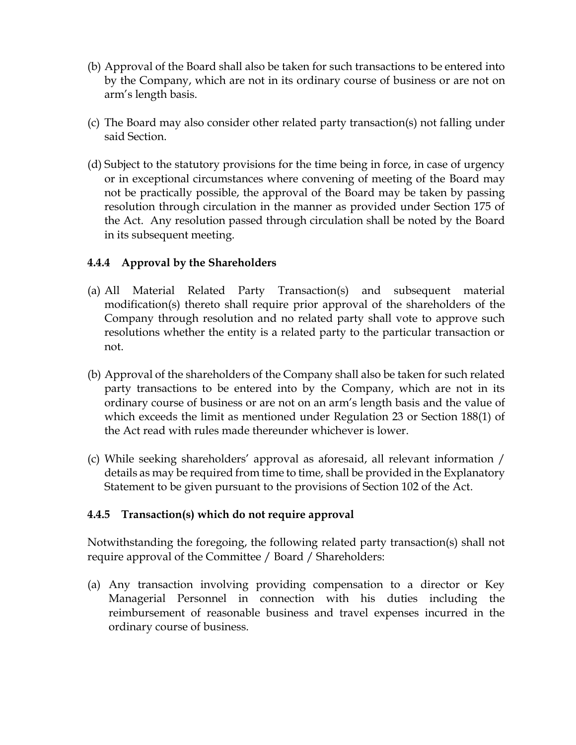- (b) Approval of the Board shall also be taken for such transactions to be entered into by the Company, which are not in its ordinary course of business or are not on arm's length basis.
- (c) The Board may also consider other related party transaction(s) not falling under said Section.
- (d) Subject to the statutory provisions for the time being in force, in case of urgency or in exceptional circumstances where convening of meeting of the Board may not be practically possible, the approval of the Board may be taken by passing resolution through circulation in the manner as provided under Section 175 of the Act. Any resolution passed through circulation shall be noted by the Board in its subsequent meeting.

### **4.4.4 Approval by the Shareholders**

- (a) All Material Related Party Transaction(s) and subsequent material modification(s) thereto shall require prior approval of the shareholders of the Company through resolution and no related party shall vote to approve such resolutions whether the entity is a related party to the particular transaction or not.
- (b) Approval of the shareholders of the Company shall also be taken for such related party transactions to be entered into by the Company, which are not in its ordinary course of business or are not on an arm's length basis and the value of which exceeds the limit as mentioned under Regulation 23 or Section 188(1) of the Act read with rules made thereunder whichever is lower.
- (c) While seeking shareholders' approval as aforesaid, all relevant information / details as may be required from time to time, shall be provided in the Explanatory Statement to be given pursuant to the provisions of Section 102 of the Act.

## **4.4.5 Transaction(s) which do not require approval**

Notwithstanding the foregoing, the following related party transaction(s) shall not require approval of the Committee / Board / Shareholders:

(a) Any transaction involving providing compensation to a director or Key Managerial Personnel in connection with his duties including the reimbursement of reasonable business and travel expenses incurred in the ordinary course of business.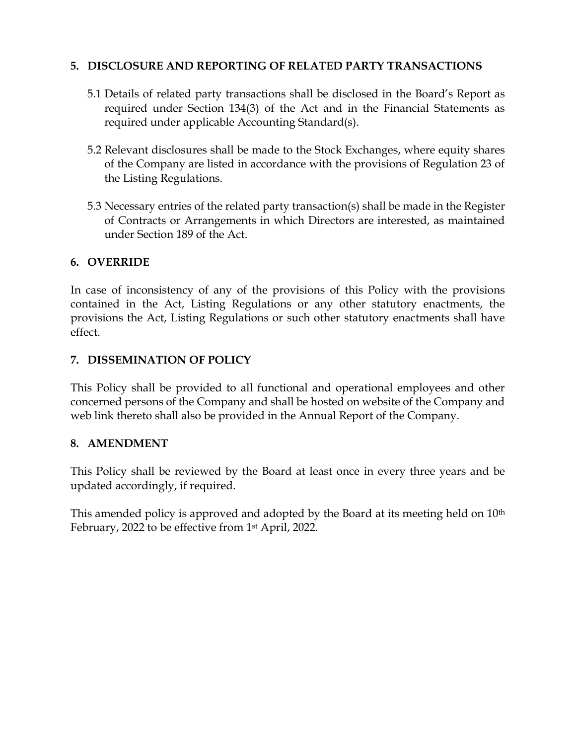### **5. DISCLOSURE AND REPORTING OF RELATED PARTY TRANSACTIONS**

- 5.1 Details of related party transactions shall be disclosed in the Board's Report as required under Section 134(3) of the Act and in the Financial Statements as required under applicable Accounting Standard(s).
- 5.2 Relevant disclosures shall be made to the Stock Exchanges, where equity shares of the Company are listed in accordance with the provisions of Regulation 23 of the Listing Regulations.
- 5.3 Necessary entries of the related party transaction(s) shall be made in the Register of Contracts or Arrangements in which Directors are interested, as maintained under Section 189 of the Act.

## **6. OVERRIDE**

In case of inconsistency of any of the provisions of this Policy with the provisions contained in the Act, Listing Regulations or any other statutory enactments, the provisions the Act, Listing Regulations or such other statutory enactments shall have effect.

## **7. DISSEMINATION OF POLICY**

This Policy shall be provided to all functional and operational employees and other concerned persons of the Company and shall be hosted on website of the Company and web link thereto shall also be provided in the Annual Report of the Company.

### **8. AMENDMENT**

This Policy shall be reviewed by the Board at least once in every three years and be updated accordingly, if required.

This amended policy is approved and adopted by the Board at its meeting held on 10<sup>th</sup> February, 2022 to be effective from 1st April, 2022.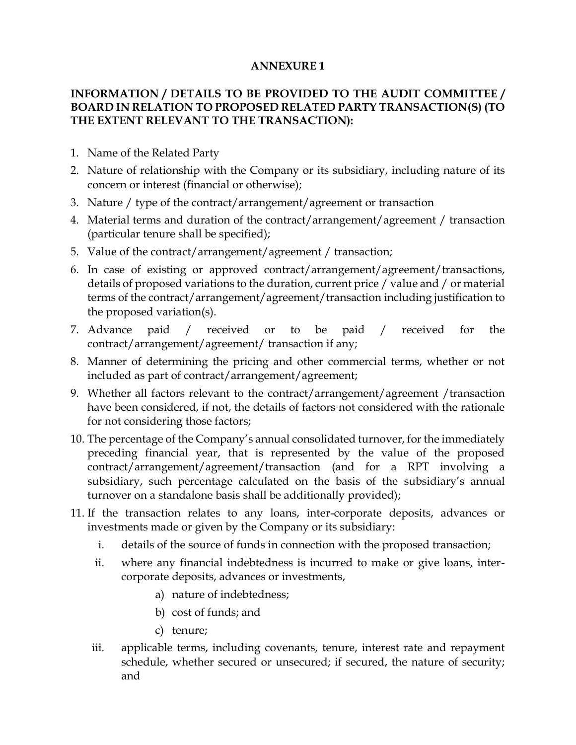#### **ANNEXURE 1**

### **INFORMATION / DETAILS TO BE PROVIDED TO THE AUDIT COMMITTEE / BOARD IN RELATION TO PROPOSED RELATED PARTY TRANSACTION(S) (TO THE EXTENT RELEVANT TO THE TRANSACTION):**

- 1. Name of the Related Party
- 2. Nature of relationship with the Company or its subsidiary, including nature of its concern or interest (financial or otherwise);
- 3. Nature / type of the contract/arrangement/agreement or transaction
- 4. Material terms and duration of the contract/arrangement/agreement / transaction (particular tenure shall be specified);
- 5. Value of the contract/arrangement/agreement / transaction;
- 6. In case of existing or approved contract/arrangement/agreement/transactions, details of proposed variations to the duration, current price / value and / or material terms of the contract/arrangement/agreement/transaction including justification to the proposed variation(s).
- 7. Advance paid / received or to be paid / received for the contract/arrangement/agreement/ transaction if any;
- 8. Manner of determining the pricing and other commercial terms, whether or not included as part of contract/arrangement/agreement;
- 9. Whether all factors relevant to the contract/arrangement/agreement /transaction have been considered, if not, the details of factors not considered with the rationale for not considering those factors;
- 10. The percentage of the Company's annual consolidated turnover, for the immediately preceding financial year, that is represented by the value of the proposed contract/arrangement/agreement/transaction (and for a RPT involving a subsidiary, such percentage calculated on the basis of the subsidiary's annual turnover on a standalone basis shall be additionally provided);
- 11. If the transaction relates to any loans, inter-corporate deposits, advances or investments made or given by the Company or its subsidiary:
	- i. details of the source of funds in connection with the proposed transaction;
	- ii. where any financial indebtedness is incurred to make or give loans, intercorporate deposits, advances or investments,
		- a) nature of indebtedness;
		- b) cost of funds; and
		- c) tenure;
	- iii. applicable terms, including covenants, tenure, interest rate and repayment schedule, whether secured or unsecured; if secured, the nature of security; and